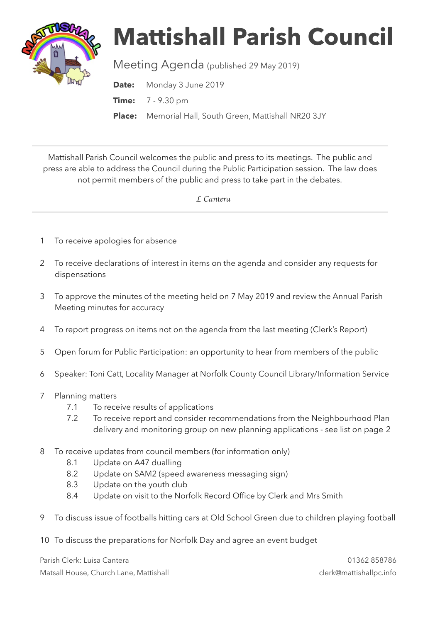

## **Mattishall Parish Council**

Meeting Agenda (published 29 May 2019)

**Date:** Monday 3 June 2019 **Time:** 7 - 9.30 pm **Place:** Memorial Hall, South Green, Mattishall NR20 3JY

Mattishall Parish Council welcomes the public and press to its meetings. The public and press are able to address the Council during the Public Participation session. The law does not permit members of the public and press to take part in the debates.

 *L Can*t*ra* 

- 1 To receive apologies for absence
- 2 To receive declarations of interest in items on the agenda and consider any requests for dispensations
- 3 To approve the minutes of the meeting held on 7 May 2019 and review the Annual Parish Meeting minutes for accuracy
- 4 To report progress on items not on the agenda from the last meeting (Clerk's Report)
- 5 Open forum for Public Participation: an opportunity to hear from members of the public
- 6 Speaker: Toni Catt, Locality Manager at Norfolk County Council Library/Information Service
- 7 Planning matters
	- 7.1 To receive results of applications
	- 7.2 To receive report and consider recommendations from the Neighbourhood Plan delivery and monitoring group on new planning applications - see list on page 2
- 8 To receive updates from council members (for information only)
	- 8.1 Update on A47 dualling
	- 8.2 Update on SAM2 (speed awareness messaging sign)
	- 8.3 Update on the youth club
	- 8.4 Update on visit to the Norfolk Record Office by Clerk and Mrs Smith
- 9 To discuss issue of footballs hitting cars at Old School Green due to children playing football
- 10 To discuss the preparations for Norfolk Day and agree an event budget

Parish Clerk: Luisa Cantera 01362 858786 Matsall House, Church Lane, Mattishall clerk@mattishallpc.info